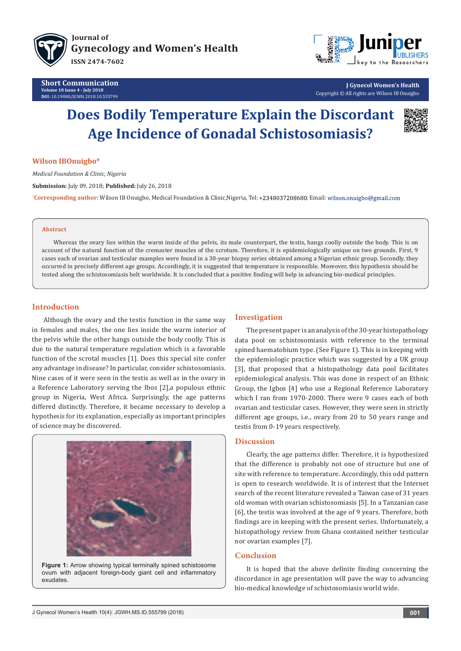



**J Gynecol Women's Health** Copyright © All rights are Wilson IB Onuigbo

# **Does Bodily Temperature Explain the Discordant Age Incidence of Gonadal Schistosomiasis?**



#### **Wilson IBOnuigbo\***

*Medical Foundation & Clinic, Nigeria*

**Submission:** July 09, 2018; **Published:** July 26, 2018

**\*Corresponding author:** Wilson IB Onuigbo, Medical Foundation & Clinic,Nigeria, Tel: +2348037208680; Email:

#### **Abstract**

Whereas the ovary lies within the warm inside of the pelvis, its male counterpart, the testis, hangs coolly outside the body. This is on account of the natural function of the cremaster muscles of the scrotum. Therefore, it is epidemiologically unique on two grounds. First, 9 cases each of ovarian and testicular examples were found in a 30-year biopsy series obtained among a Nigerian ethnic group. Secondly, they occurred in precisely different age groups. Accordingly, it is suggested that temperature is responsible. Moreover, this hypothesis should be tested along the schistosomiasis belt worldwide. It is concluded that a positive finding will help in advancing bio-medical principles.

#### **Introduction**

Although the ovary and the testis function in the same way in females and males, the one lies inside the warm interior of the pelvis while the other hangs outside the body coolly. This is due to the natural temperature regulation which is a favorable function of the scrotal muscles [1]. Does this special site confer any advantage in disease? In particular, consider schistosomiasis. Nine cases of it were seen in the testis as well as in the ovary in a Reference Laboratory serving the Ibos [2],a populous ethnic group in Nigeria, West Africa. Surprisingly, the age patterns differed distinctly. Therefore, it became necessary to develop a hypothesis for its explanation, especially as important principles of science may be discovered.



**Figure 1:** Arrow showing typical terminally spined schistosome ovum with adjacent foreign-body giant cell and inflammatory exudates.

## **Investigation**

The present paper is an analysis of the 30-year histopathology data pool on schistosomiasis with reference to the terminal spined haematobium type. (See Figure 1). This is in keeping with the epidemiologic practice which was suggested by a UK group [3], that proposed that a histopathology data pool facilitates epidemiological analysis. This was done in respect of an Ethnic Group, the Igbos [4] who use a Regional Reference Laboratory which I ran from 1970-2000. There were 9 cases each of both ovarian and testicular cases. However, they were seen in strictly different age groups, i.e., ovary from 20 to 50 years range and testis from 0-19 years respectively.

#### **Discussion**

Clearly, the age patterns differ. Therefore, it is hypothesized that the difference is probably not one of structure but one of site with reference to temperature. Accordingly, this odd pattern is open to research worldwide. It is of interest that the Internet search of the recent literature revealed a Taiwan case of 31 years old woman with ovarian schistosomiasis [5]. In a Tanzanian case [6], the testis was involved at the age of 9 years. Therefore, both findings are in keeping with the present series. Unfortunately, a histopathology review from Ghana contained neither testicular nor ovarian examples [7].

## **Conclusion**

It is hoped that the above definite finding concerning the discordance in age presentation will pave the way to advancing bio-medical knowledge of schistosomiasis world wide.